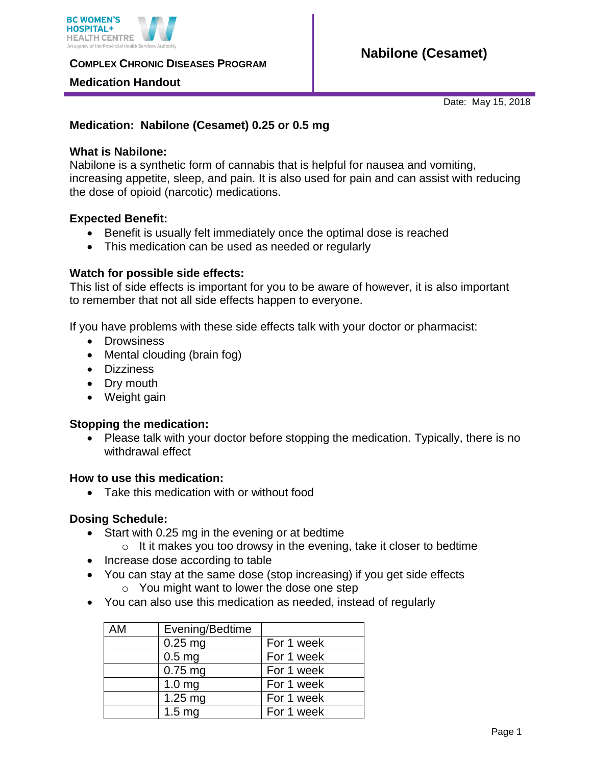

**COMPLEX CHRONIC DISEASES PROGRAM** 

## **Medication Handout**

Date: May 15, 2018

# **Medication: Nabilone (Cesamet) 0.25 or 0.5 mg**

## **What is Nabilone:**

Nabilone is a synthetic form of cannabis that is helpful for nausea and vomiting, increasing appetite, sleep, and pain. It is also used for pain and can assist with reducing the dose of opioid (narcotic) medications.

## **Expected Benefit:**

- Benefit is usually felt immediately once the optimal dose is reached
- This medication can be used as needed or regularly

## **Watch for possible side effects:**

This list of side effects is important for you to be aware of however, it is also important to remember that not all side effects happen to everyone.

If you have problems with these side effects talk with your doctor or pharmacist:

- Drowsiness
- Mental clouding (brain fog)
- Dizziness
- Dry mouth
- Weight gain

## **Stopping the medication:**

• Please talk with your doctor before stopping the medication. Typically, there is no withdrawal effect

### **How to use this medication:**

Take this medication with or without food

### **Dosing Schedule:**

- Start with 0.25 mg in the evening or at bedtime
	- o It it makes you too drowsy in the evening, take it closer to bedtime
- Increase dose according to table
- You can stay at the same dose (stop increasing) if you get side effects o You might want to lower the dose one step
- You can also use this medication as needed, instead of regularly

| <b>AM</b> | Evening/Bedtime   |            |
|-----------|-------------------|------------|
|           | $0.25$ mg         | For 1 week |
|           | 0.5 <sub>mg</sub> | For 1 week |
|           | $0.75$ mg         | For 1 week |
|           | 1.0 <sub>mg</sub> | For 1 week |
|           | $1.25$ mg         | For 1 week |
|           | 1.5 <sub>mg</sub> | For 1 week |